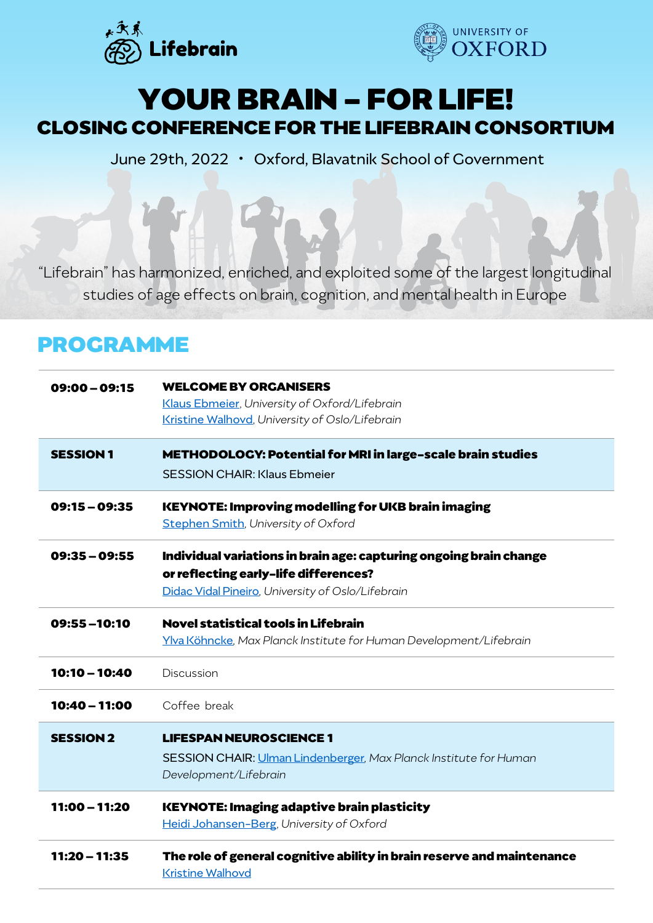



## **YOUR BRAIN - FOR LIFE! CLOSING CONFERENCE FOR THE LIFEBRAIN CONSORTIUM**

June 29th, 2022 • Oxford, Blavatnik School of Government

"Lifebrain" has harmonized, enriched, and exploited some of the largest longitudinal studies of age effects on brain, cognition, and mental health in Europe

## **PROGRAMME**

| $09:00 - 09:15$  | <b>WELCOME BY ORGANISERS</b><br>Klaus Ebmeier, University of Oxford/Lifebrain<br>Kristine Walhovd, University of Oslo/Lifebrain                                  |
|------------------|------------------------------------------------------------------------------------------------------------------------------------------------------------------|
| <b>SESSION 1</b> | METHODOLOGY: Potential for MRI in large-scale brain studies<br><b>SESSION CHAIR: Klaus Ebmeier</b>                                                               |
| $09:15 - 09:35$  | <b>KEYNOTE: Improving modelling for UKB brain imaging</b><br><b>Stephen Smith, University of Oxford</b>                                                          |
| $09:35 - 09:55$  | Individual variations in brain age: capturing ongoing brain change<br>or reflecting early-life differences?<br>Didac Vidal Pineiro, University of Oslo/Lifebrain |
| 09:55-10:10      | <b>Novel statistical tools in Lifebrain</b><br>Ylva Köhncke, Max Planck Institute for Human Development/Lifebrain                                                |
| 10:10 - 10:40    | Discussion                                                                                                                                                       |
| 10:40 - 11:00    | Coffee break                                                                                                                                                     |
| <b>SESSION 2</b> | <b>LIFESPAN NEUROSCIENCE 1</b><br>SESSION CHAIR: Ulman Lindenberger, Max Planck Institute for Human<br>Development/Lifebrain                                     |
| 11:00 - 11:20    | <b>KEYNOTE: Imaging adaptive brain plasticity</b><br>Heidi Johansen-Berg, University of Oxford                                                                   |
| $11:20 - 11:35$  | The role of general cognitive ability in brain reserve and maintenance<br><b>Kristine Walhovd</b>                                                                |